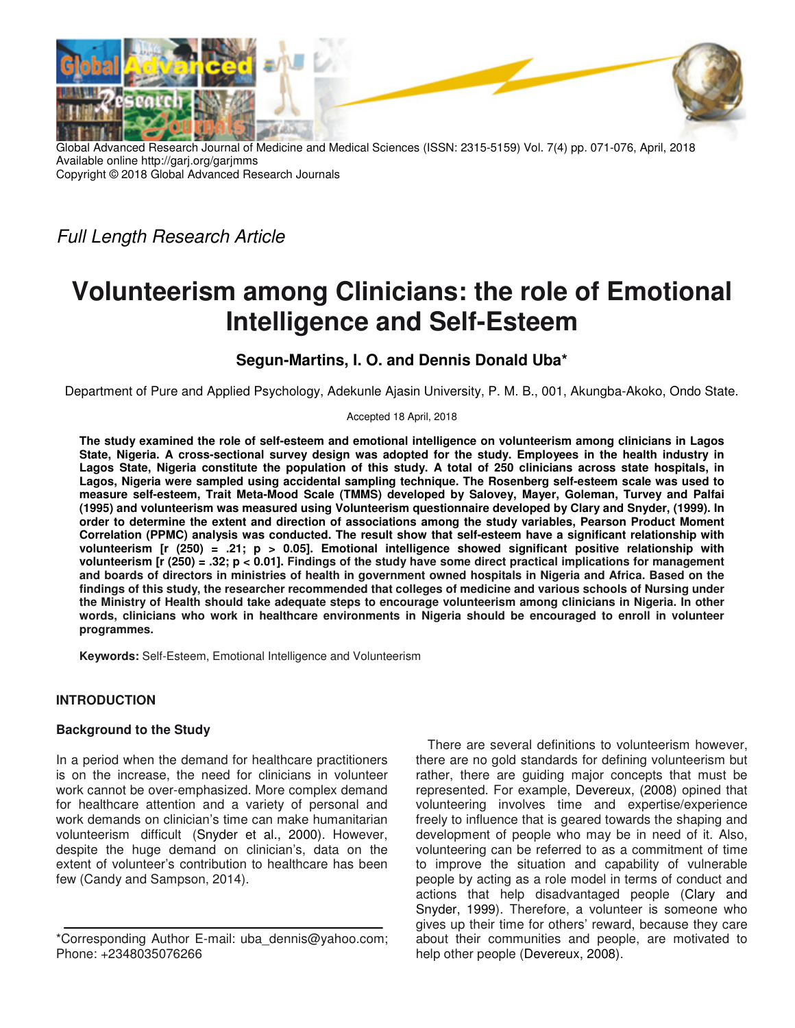

Global Advanced Research Journal of Medicine and Medical Sciences (ISSN: 2315-5159) Vol. 7(4) pp. 071-076, April, 2018 Available online http://garj.org/garjmms Copyright © 2018 Global Advanced Research Journals

*Full Length Research Article* 

# **Volunteerism among Clinicians: the role of Emotional Intelligence and Self-Esteem**

# **Segun-Martins, I. O. and Dennis Donald Uba\***

Department of Pure and Applied Psychology, Adekunle Ajasin University, P. M. B., 001, Akungba-Akoko, Ondo State.

Accepted 18 April, 2018

**The study examined the role of self-esteem and emotional intelligence on volunteerism among clinicians in Lagos State, Nigeria. A cross-sectional survey design was adopted for the study. Employees in the health industry in Lagos State, Nigeria constitute the population of this study. A total of 250 clinicians across state hospitals, in Lagos, Nigeria were sampled using accidental sampling technique. The Rosenberg self-esteem scale was used to measure self-esteem, Trait Meta-Mood Scale (TMMS) developed by Salovey, Mayer, Goleman, Turvey and Palfai (1995) and volunteerism was measured using Volunteerism questionnaire developed by Clary and Snyder, (1999). In order to determine the extent and direction of associations among the study variables, Pearson Product Moment Correlation (PPMC) analysis was conducted. The result show that self-esteem have a significant relationship with volunteerism [r (250) = .21; p > 0.05]. Emotional intelligence showed significant positive relationship with volunteerism [r (250) = .32; p < 0.01]. Findings of the study have some direct practical implications for management and boards of directors in ministries of health in government owned hospitals in Nigeria and Africa. Based on the findings of this study, the researcher recommended that colleges of medicine and various schools of Nursing under the Ministry of Health should take adequate steps to encourage volunteerism among clinicians in Nigeria. In other words, clinicians who work in healthcare environments in Nigeria should be encouraged to enroll in volunteer programmes.** 

**Keywords:** Self-Esteem, Emotional Intelligence and Volunteerism

## **INTRODUCTION**

## **Background to the Study**

In a period when the demand for healthcare practitioners is on the increase, the need for clinicians in volunteer work cannot be over-emphasized. More complex demand for healthcare attention and a variety of personal and work demands on clinician's time can make humanitarian volunteerism difficult (Snyder et al., 2000). However, despite the huge demand on clinician's, data on the extent of volunteer's contribution to healthcare has been few (Candy and Sampson, 2014).

There are several definitions to volunteerism however, there are no gold standards for defining volunteerism but rather, there are guiding major concepts that must be represented. For example, Devereux, (2008) opined that volunteering involves time and expertise/experience freely to influence that is geared towards the shaping and development of people who may be in need of it. Also, volunteering can be referred to as a commitment of time to improve the situation and capability of vulnerable people by acting as a role model in terms of conduct and actions that help disadvantaged people (Clary and Snyder, 1999). Therefore, a volunteer is someone who gives up their time for others' reward, because they care about their communities and people, are motivated to help other people (Devereux, 2008).

<sup>\*</sup>Corresponding Author E-mail: uba\_dennis@yahoo.com; Phone: +2348035076266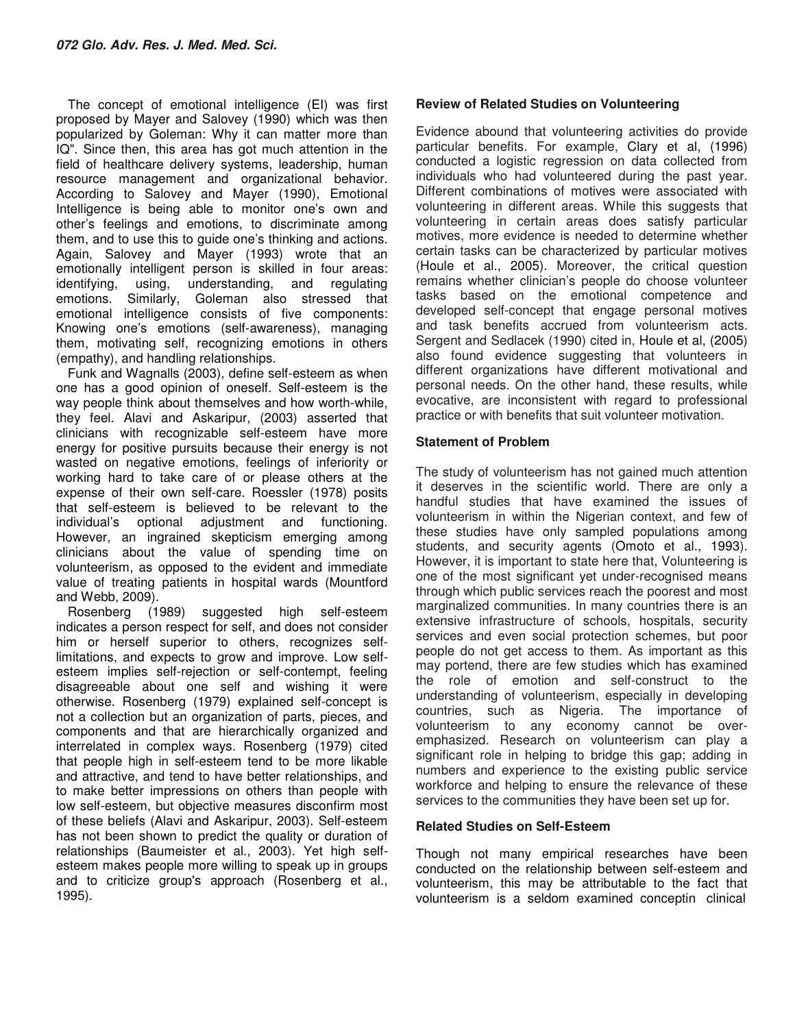The concept of emotional intelligence (EI) was first proposed by Mayer and Salovey (1990) which was then popularized by Goleman: Why it can matter more than IQ". Since then, this area has got much attention in the field of healthcare delivery systems, leadership, human resource management and organizational behavior. According to Salovey and Mayer (1990), Emotional Intelligence is being able to monitor one's own and other's feelings and emotions, to discriminate among them, and to use this to guide one's thinking and actions. Again, Salovey and Mayer (1993) wrote that an emotionally intelligent person is skilled in four areas: identifying, using, understanding, and regulating emotions. Similarly, Goleman also stressed that emotional intelligence consists of five components: Knowing one's emotions (self-awareness), managing them, motivating self, recognizing emotions in others (empathy), and handling relationships.

Funk and Wagnalls (2003), define self-esteem as when one has a good opinion of oneself. Self-esteem is the way people think about themselves and how worth-while, they feel. Alavi and Askaripur, (2003) asserted that clinicians with recognizable self-esteem have more energy for positive pursuits because their energy is not wasted on negative emotions, feelings of inferiority or working hard to take care of or please others at the expense of their own self-care. Roessler (1978) posits that self-esteem is believed to be relevant to the individual's optional adjustment and functioning. However, an ingrained skepticism emerging among clinicians about the value of spending time on volunteerism, as opposed to the evident and immediate value of treating patients in hospital wards (Mountford and Webb, 2009).

Rosenberg (1989) suggested high self-esteem indicates a person respect for self, and does not consider him or herself superior to others, recognizes selflimitations, and expects to grow and improve. Low selfesteem implies self-rejection or self-contempt, feeling disagreeable about one self and wishing it were otherwise. Rosenberg (1979) explained self-concept is not a collection but an organization of parts, pieces, and components and that are hierarchically organized and interrelated in complex ways. Rosenberg (1979) cited that people high in self-esteem tend to be more likable and attractive, and tend to have better relationships, and to make better impressions on others than people with low self-esteem, but objective measures disconfirm most of these beliefs (Alavi and Askaripur, 2003). Self-esteem has not been shown to predict the quality or duration of relationships (Baumeister et al., 2003). Yet high selfesteem makes people more willing to speak up in groups and to criticize group's approach (Rosenberg et al., 1995).

# **Review of Related Studies on Volunteering**

Evidence abound that volunteering activities do provide particular benefits. For example, Clary et al, (1996) conducted a logistic regression on data collected from individuals who had volunteered during the past year. Different combinations of motives were associated with volunteering in different areas. While this suggests that volunteering in certain areas does satisfy particular motives, more evidence is needed to determine whether certain tasks can be characterized by particular motives (Houle et al., 2005). Moreover, the critical question remains whether clinician's people do choose volunteer tasks based on the emotional competence and developed self-concept that engage personal motives and task benefits accrued from volunteerism acts. Sergent and Sedlacek (1990) cited in, Houle et al, (2005) also found evidence suggesting that volunteers in different organizations have different motivational and personal needs. On the other hand, these results, while evocative, are inconsistent with regard to professional practice or with benefits that suit volunteer motivation.

## **Statement of Problem**

The study of volunteerism has not gained much attention it deserves in the scientific world. There are only a handful studies that have examined the issues of volunteerism in within the Nigerian context, and few of these studies have only sampled populations among students, and security agents (Omoto et al., 1993). However, it is important to state here that, Volunteering is one of the most significant yet under-recognised means through which public services reach the poorest and most marginalized communities. In many countries there is an extensive infrastructure of schools, hospitals, security services and even social protection schemes, but poor people do not get access to them. As important as this may portend, there are few studies which has examined the role of emotion and self-construct to the understanding of volunteerism, especially in developing countries, such as Nigeria. The importance of volunteerism to any economy cannot be overemphasized. Research on volunteerism can play a significant role in helping to bridge this gap; adding in numbers and experience to the existing public service workforce and helping to ensure the relevance of these services to the communities they have been set up for.

## **Related Studies on Self-Esteem**

Though not many empirical researches have been conducted on the relationship between self-esteem and volunteerism, this may be attributable to the fact that volunteerism is a seldom examined conceptin clinical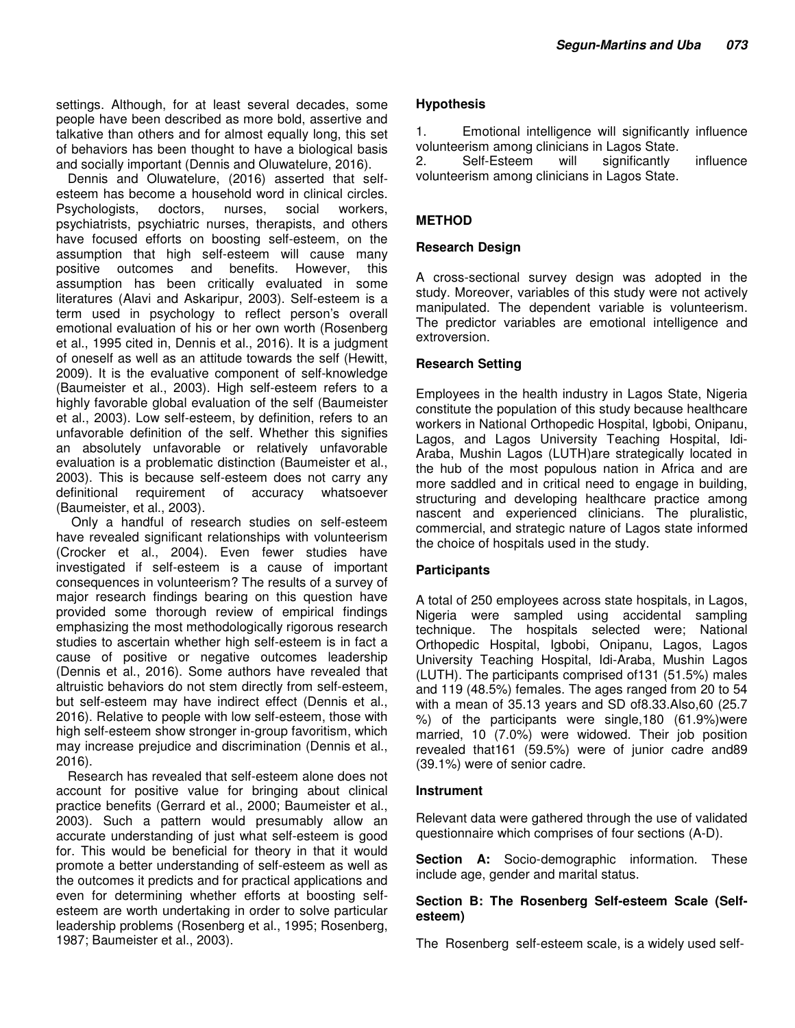settings. Although, for at least several decades, some people have been described as more bold, assertive and talkative than others and for almost equally long, this set of behaviors has been thought to have a biological basis and socially important (Dennis and Oluwatelure, 2016).

Dennis and Oluwatelure, (2016) asserted that selfesteem has become a household word in clinical circles. Psychologists, doctors, nurses, social workers, psychiatrists, psychiatric nurses, therapists, and others have focused efforts on boosting self-esteem, on the assumption that high self-esteem will cause many positive outcomes and benefits. However, this assumption has been critically evaluated in some literatures (Alavi and Askaripur, 2003). Self-esteem is a term used in psychology to reflect person's overall emotional evaluation of his or her own worth (Rosenberg et al., 1995 cited in, Dennis et al., 2016). It is a judgment of oneself as well as an attitude towards the self (Hewitt, 2009). It is the evaluative component of self-knowledge (Baumeister et al., 2003). High self-esteem refers to a highly favorable global evaluation of the self (Baumeister et al., 2003). Low self-esteem, by definition, refers to an unfavorable definition of the self. Whether this signifies an absolutely unfavorable or relatively unfavorable evaluation is a problematic distinction (Baumeister et al., 2003). This is because self-esteem does not carry any definitional requirement of accuracy whatsoever (Baumeister, et al., 2003).

 Only a handful of research studies on self-esteem have revealed significant relationships with volunteerism (Crocker et al., 2004). Even fewer studies have investigated if self-esteem is a cause of important consequences in volunteerism? The results of a survey of major research findings bearing on this question have provided some thorough review of empirical findings emphasizing the most methodologically rigorous research studies to ascertain whether high self-esteem is in fact a cause of positive or negative outcomes leadership (Dennis et al., 2016). Some authors have revealed that altruistic behaviors do not stem directly from self-esteem, but self-esteem may have indirect effect (Dennis et al., 2016). Relative to people with low self-esteem, those with high self-esteem show stronger in-group favoritism, which may increase prejudice and discrimination (Dennis et al., 2016).

Research has revealed that self-esteem alone does not account for positive value for bringing about clinical practice benefits (Gerrard et al., 2000; Baumeister et al., 2003). Such a pattern would presumably allow an accurate understanding of just what self-esteem is good for. This would be beneficial for theory in that it would promote a better understanding of self-esteem as well as the outcomes it predicts and for practical applications and even for determining whether efforts at boosting selfesteem are worth undertaking in order to solve particular leadership problems (Rosenberg et al., 1995; Rosenberg, 1987; Baumeister et al., 2003).

# **Hypothesis**

1. Emotional intelligence will significantly influence volunteerism among clinicians in Lagos State.

2. Self-Esteem will significantly influence volunteerism among clinicians in Lagos State.

# **METHOD**

# **Research Design**

A cross-sectional survey design was adopted in the study. Moreover, variables of this study were not actively manipulated. The dependent variable is volunteerism. The predictor variables are emotional intelligence and extroversion.

# **Research Setting**

Employees in the health industry in Lagos State, Nigeria constitute the population of this study because healthcare workers in National Orthopedic Hospital, Igbobi, Onipanu, Lagos, and Lagos University Teaching Hospital, Idi-Araba, Mushin Lagos (LUTH)are strategically located in the hub of the most populous nation in Africa and are more saddled and in critical need to engage in building, structuring and developing healthcare practice among nascent and experienced clinicians. The pluralistic, commercial, and strategic nature of Lagos state informed the choice of hospitals used in the study.

## **Participants**

A total of 250 employees across state hospitals, in Lagos, Nigeria were sampled using accidental sampling technique. The hospitals selected were; National Orthopedic Hospital, Igbobi, Onipanu, Lagos, Lagos University Teaching Hospital, Idi-Araba, Mushin Lagos (LUTH). The participants comprised of131 (51.5%) males and 119 (48.5%) females. The ages ranged from 20 to 54 with a mean of 35.13 years and SD of8.33.Also,60 (25.7 %) of the participants were single,180 (61.9%)were married, 10 (7.0%) were widowed. Their job position revealed that161 (59.5%) were of junior cadre and89 (39.1%) were of senior cadre.

## **Instrument**

Relevant data were gathered through the use of validated questionnaire which comprises of four sections (A-D).

**Section A:** Socio-demographic information. These include age, gender and marital status.

## **Section B: The Rosenberg Self-esteem Scale (Selfesteem)**

The Rosenberg self-esteem scale, is a widely used self-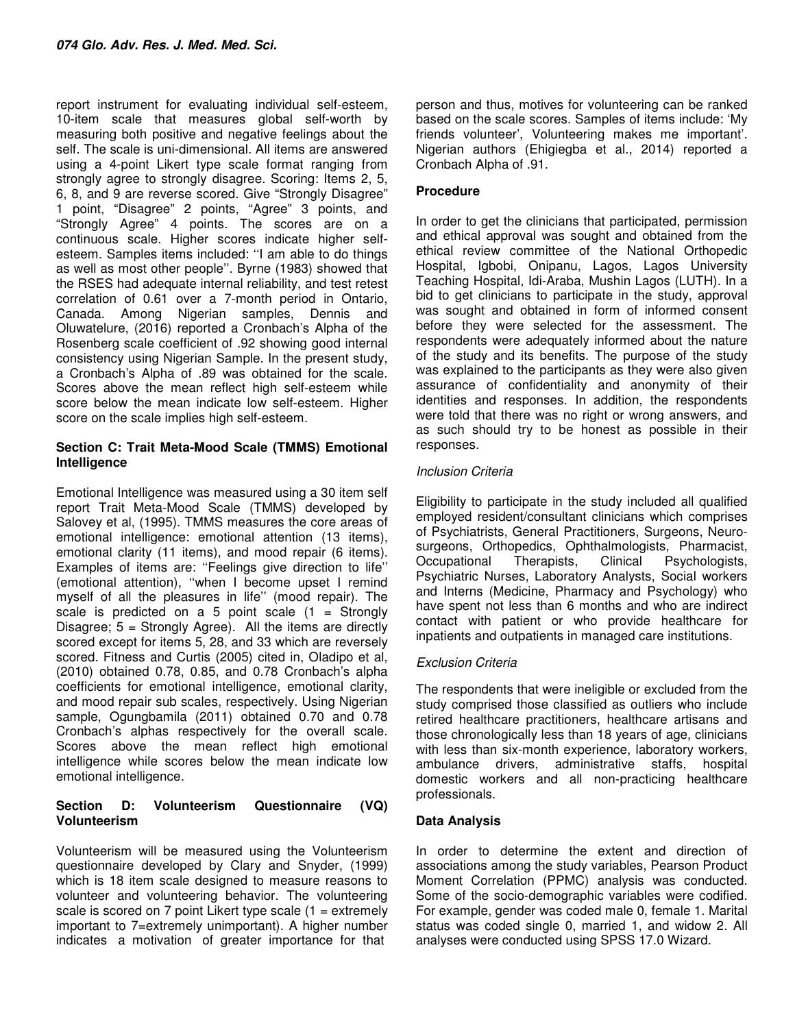report instrument for evaluating individual self-esteem, 10-item scale that measures global self-worth by measuring both positive and negative feelings about the self. The scale is uni-dimensional. All items are answered using a 4-point Likert type scale format ranging from strongly agree to strongly disagree. Scoring: Items 2, 5, 6, 8, and 9 are reverse scored. Give "Strongly Disagree" 1 point, "Disagree" 2 points, "Agree" 3 points, and "Strongly Agree" 4 points. The scores are on a continuous scale. Higher scores indicate higher selfesteem. Samples items included: ''I am able to do things as well as most other people''. Byrne (1983) showed that the RSES had adequate internal reliability, and test retest correlation of 0.61 over a 7-month period in Ontario, Canada. Among Nigerian samples, Dennis and Oluwatelure, (2016) reported a Cronbach's Alpha of the Rosenberg scale coefficient of .92 showing good internal consistency using Nigerian Sample. In the present study, a Cronbach's Alpha of .89 was obtained for the scale. Scores above the mean reflect high self-esteem while score below the mean indicate low self-esteem. Higher score on the scale implies high self-esteem.

# **Section C: Trait Meta-Mood Scale (TMMS) Emotional Intelligence**

Emotional Intelligence was measured using a 30 item self report Trait Meta-Mood Scale (TMMS) developed by Salovey et al, (1995). TMMS measures the core areas of emotional intelligence: emotional attention (13 items), emotional clarity (11 items), and mood repair (6 items). Examples of items are: ''Feelings give direction to life'' (emotional attention), ''when I become upset I remind myself of all the pleasures in life'' (mood repair). The scale is predicted on a 5 point scale  $(1 =$  Strongly Disagree;  $5 =$  Strongly Agree). All the items are directly scored except for items 5, 28, and 33 which are reversely scored. Fitness and Curtis (2005) cited in, Oladipo et al, (2010) obtained 0.78, 0.85, and 0.78 Cronbach's alpha coefficients for emotional intelligence, emotional clarity, and mood repair sub scales, respectively. Using Nigerian sample, Ogungbamila (2011) obtained 0.70 and 0.78 Cronbach's alphas respectively for the overall scale. Scores above the mean reflect high emotional intelligence while scores below the mean indicate low emotional intelligence.

# **Section D: Volunteerism Questionnaire (VQ) Volunteerism**

Volunteerism will be measured using the Volunteerism questionnaire developed by Clary and Snyder, (1999) which is 18 item scale designed to measure reasons to volunteer and volunteering behavior. The volunteering scale is scored on 7 point Likert type scale  $(1 =$  extremely important to 7=extremely unimportant). A higher number indicates a motivation of greater importance for that

person and thus, motives for volunteering can be ranked based on the scale scores. Samples of items include: 'My friends volunteer', Volunteering makes me important'. Nigerian authors (Ehigiegba et al., 2014) reported a Cronbach Alpha of .91.

# **Procedure**

In order to get the clinicians that participated, permission and ethical approval was sought and obtained from the ethical review committee of the National Orthopedic Hospital, Igbobi, Onipanu, Lagos, Lagos University Teaching Hospital, Idi-Araba, Mushin Lagos (LUTH). In a bid to get clinicians to participate in the study, approval was sought and obtained in form of informed consent before they were selected for the assessment. The respondents were adequately informed about the nature of the study and its benefits. The purpose of the study was explained to the participants as they were also given assurance of confidentiality and anonymity of their identities and responses. In addition, the respondents were told that there was no right or wrong answers, and as such should try to be honest as possible in their responses.

# *Inclusion Criteria*

Eligibility to participate in the study included all qualified employed resident/consultant clinicians which comprises of Psychiatrists, General Practitioners, Surgeons, Neurosurgeons, Orthopedics, Ophthalmologists, Pharmacist, Occupational Therapists, Clinical Psychologists, Psychiatric Nurses, Laboratory Analysts, Social workers and Interns (Medicine, Pharmacy and Psychology) who have spent not less than 6 months and who are indirect contact with patient or who provide healthcare for inpatients and outpatients in managed care institutions.

# *Exclusion Criteria*

The respondents that were ineligible or excluded from the study comprised those classified as outliers who include retired healthcare practitioners, healthcare artisans and those chronologically less than 18 years of age, clinicians with less than six-month experience, laboratory workers, ambulance drivers, administrative staffs, hospital domestic workers and all non-practicing healthcare professionals.

# **Data Analysis**

In order to determine the extent and direction of associations among the study variables, Pearson Product Moment Correlation (PPMC) analysis was conducted. Some of the socio-demographic variables were codified. For example, gender was coded male 0, female 1. Marital status was coded single 0, married 1, and widow 2. All analyses were conducted using SPSS 17.0 Wizard.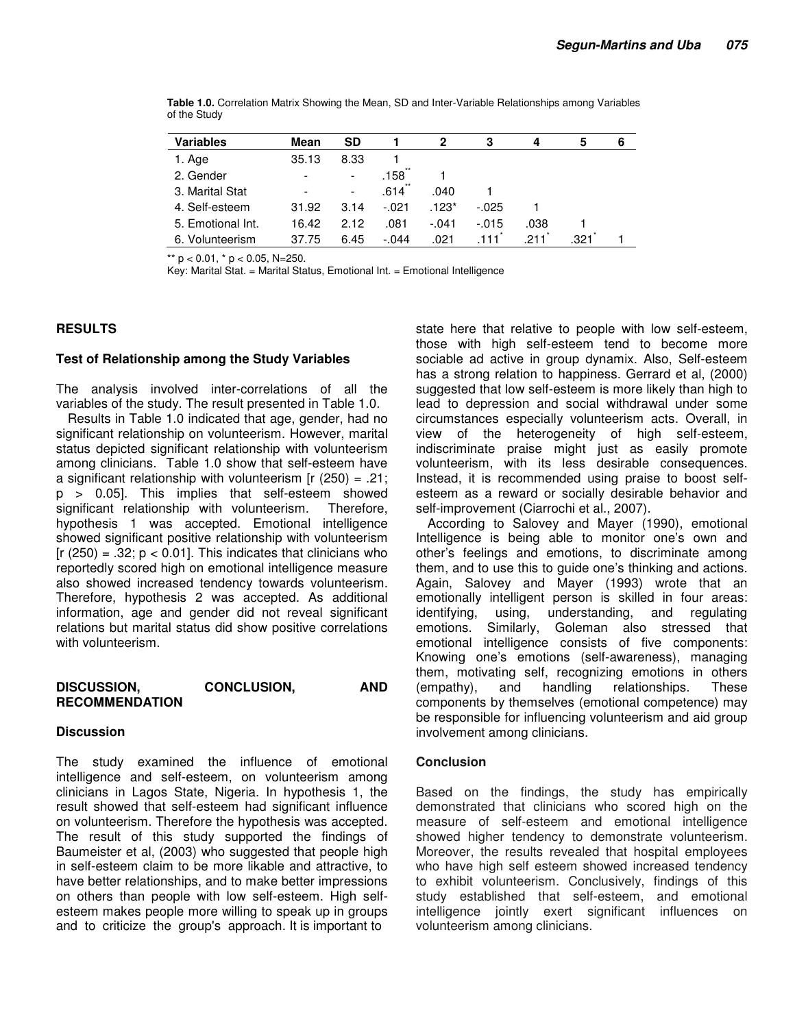| <b>Variables</b>  | Mean                         | <b>SD</b>                |         |         | З        | 4    | 5   | 6 |
|-------------------|------------------------------|--------------------------|---------|---------|----------|------|-----|---|
| 1. Age            | 35.13                        | 8.33                     |         |         |          |      |     |   |
| 2. Gender         | $\overline{\phantom{a}}$     | $\overline{\phantom{a}}$ | .158    |         |          |      |     |   |
| 3. Marital Stat   | $\qquad \qquad \blacksquare$ | $\overline{\phantom{a}}$ | .614    | .040    |          |      |     |   |
| 4. Self-esteem    | 31.92                        | 3.14                     | $-.021$ | $.123*$ | $-025$   |      |     |   |
| 5. Emotional Int. | 16.42                        | 2.12                     | .081    | -.041   | $-0.015$ | .038 |     |   |
| 6. Volunteerism   | 37.75                        | 6.45                     | $-.044$ | .021    | 111      | 211  | 321 |   |

**Table 1.0.** Correlation Matrix Showing the Mean, SD and Inter-Variable Relationships among Variables of the Study

\*\*  $p < 0.01$ ,  $*$   $p < 0.05$ , N=250.

Key: Marital Stat. = Marital Status, Emotional Int. = Emotional Intelligence

## **RESULTS**

#### **Test of Relationship among the Study Variables**

The analysis involved inter-correlations of all the variables of the study. The result presented in Table 1.0.

Results in Table 1.0 indicated that age, gender, had no significant relationship on volunteerism. However, marital status depicted significant relationship with volunteerism among clinicians. Table 1.0 show that self-esteem have a significant relationship with volunteerism [ $r$  (250) = .21; p > 0.05]. This implies that self-esteem showed significant relationship with volunteerism. Therefore, hypothesis 1 was accepted. Emotional intelligence showed significant positive relationship with volunteerism  $[r (250) = .32; p < 0.01]$ . This indicates that clinicians who reportedly scored high on emotional intelligence measure also showed increased tendency towards volunteerism. Therefore, hypothesis 2 was accepted. As additional information, age and gender did not reveal significant relations but marital status did show positive correlations with volunteerism.

#### **DISCUSSION, CONCLUSION, AND RECOMMENDATION**

#### **Discussion**

The study examined the influence of emotional intelligence and self-esteem, on volunteerism among clinicians in Lagos State, Nigeria. In hypothesis 1, the result showed that self-esteem had significant influence on volunteerism. Therefore the hypothesis was accepted. The result of this study supported the findings of Baumeister et al, (2003) who suggested that people high in self-esteem claim to be more likable and attractive, to have better relationships, and to make better impressions on others than people with low self-esteem. High selfesteem makes people more willing to speak up in groups and to criticize the group's approach. It is important to

state here that relative to people with low self-esteem, those with high self-esteem tend to become more sociable ad active in group dynamix. Also, Self-esteem has a strong relation to happiness. Gerrard et al, (2000) suggested that low self-esteem is more likely than high to lead to depression and social withdrawal under some circumstances especially volunteerism acts. Overall, in view of the heterogeneity of high self-esteem, indiscriminate praise might just as easily promote volunteerism, with its less desirable consequences. Instead, it is recommended using praise to boost selfesteem as a reward or socially desirable behavior and self-improvement (Ciarrochi et al., 2007).

According to Salovey and Mayer (1990), emotional Intelligence is being able to monitor one's own and other's feelings and emotions, to discriminate among them, and to use this to guide one's thinking and actions. Again, Salovey and Mayer (1993) wrote that an emotionally intelligent person is skilled in four areas: identifying, using, understanding, and regulating emotions. Similarly, Goleman also stressed that emotional intelligence consists of five components: Knowing one's emotions (self-awareness), managing them, motivating self, recognizing emotions in others (empathy), and handling relationships. These components by themselves (emotional competence) may be responsible for influencing volunteerism and aid group involvement among clinicians.

#### **Conclusion**

Based on the findings, the study has empirically demonstrated that clinicians who scored high on the measure of self-esteem and emotional intelligence showed higher tendency to demonstrate volunteerism. Moreover, the results revealed that hospital employees who have high self esteem showed increased tendency to exhibit volunteerism. Conclusively, findings of this study established that self-esteem, and emotional intelligence jointly exert significant influences on volunteerism among clinicians.